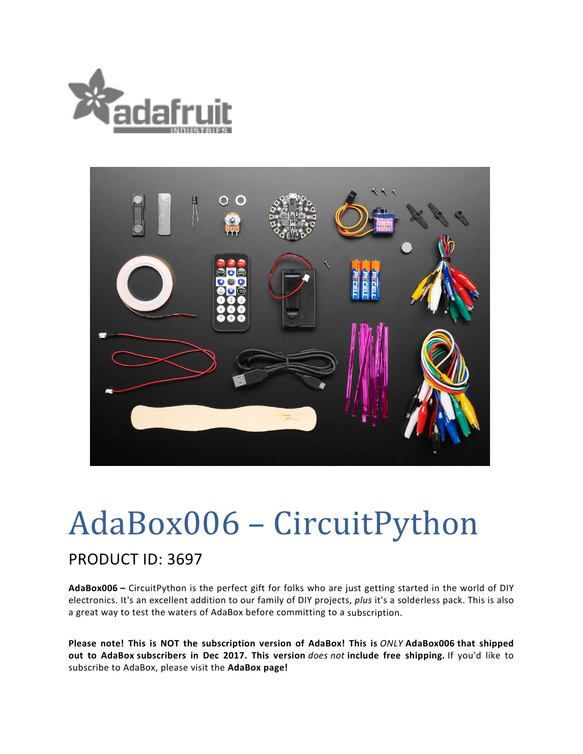



## AdaBox006 - CircuitPython

## PRODUCT ID: 3697

**AdaBox006 –** CircuitPython is the perfect gift for folks who are just getting started in the world of DIY electronics. It's an excellent addition to our family of DIY projects, *plus* it's a solderless pack. This is also a great way to test the waters of AdaBox before committing to a subscription.

**Please note! This is NOT the subscription version of AdaBox! This is** *ONLY* **AdaBox006 that shipped out to AdaBox subscribers in Dec 2017. This version** *does not* **include free shipping.** If you'd like to subscribe to AdaBox, please visit the **AdaBox page!**